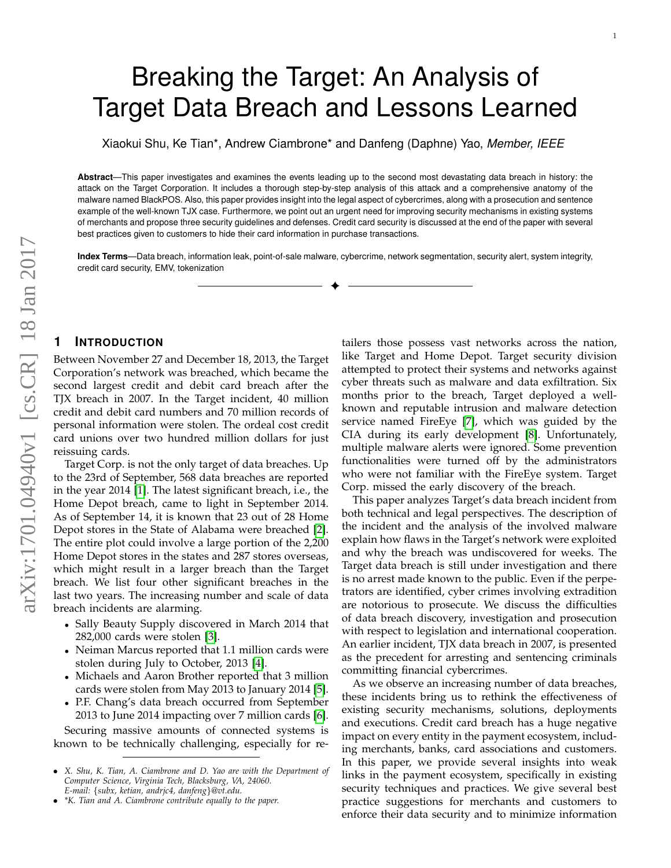# Breaking the Target: An Analysis of Target Data Breach and Lessons Learned

Xiaokui Shu, Ke Tian\*, Andrew Ciambrone\* and Danfeng (Daphne) Yao, *Member, IEEE*

**Abstract**—This paper investigates and examines the events leading up to the second most devastating data breach in history: the attack on the Target Corporation. It includes a thorough step-by-step analysis of this attack and a comprehensive anatomy of the malware named BlackPOS. Also, this paper provides insight into the legal aspect of cybercrimes, along with a prosecution and sentence example of the well-known TJX case. Furthermore, we point out an urgent need for improving security mechanisms in existing systems of merchants and propose three security guidelines and defenses. Credit card security is discussed at the end of the paper with several best practices given to customers to hide their card information in purchase transactions.

**Index Terms**—Data breach, information leak, point-of-sale malware, cybercrime, network segmentation, security alert, system integrity, credit card security, EMV, tokenization ✦

## **1 INTRODUCTION**

Between November 27 and December 18, 2013, the Target Corporation's network was breached, which became the second largest credit and debit card breach after the TJX breach in 2007. In the Target incident, 40 million credit and debit card numbers and 70 million records of personal information were stolen. The ordeal cost credit card unions over two hundred million dollars for just reissuing cards.

Target Corp. is not the only target of data breaches. Up to the 23rd of September, 568 data breaches are reported in the year 2014 [\[1\]](#page-9-0). The latest significant breach, i.e., the Home Depot breach, came to light in September 2014. As of September 14, it is known that 23 out of 28 Home Depot stores in the State of Alabama were breached [\[2\]](#page-9-1). The entire plot could involve a large portion of the 2,200 Home Depot stores in the states and 287 stores overseas, which might result in a larger breach than the Target breach. We list four other significant breaches in the last two years. The increasing number and scale of data breach incidents are alarming.

- Sally Beauty Supply discovered in March 2014 that 282,000 cards were stolen [\[3\]](#page-9-2).
- Neiman Marcus reported that 1.1 million cards were stolen during July to October, 2013 [\[4\]](#page-9-3).
- Michaels and Aaron Brother reported that 3 million cards were stolen from May 2013 to January 2014 [\[5\]](#page-9-4).
- P.F. Chang's data breach occurred from September 2013 to June 2014 impacting over 7 million cards [\[6\]](#page-9-5). Securing massive amounts of connected systems is

known to be technically challenging, especially for re-

tailers those possess vast networks across the nation, like Target and Home Depot. Target security division attempted to protect their systems and networks against cyber threats such as malware and data exfiltration. Six months prior to the breach, Target deployed a wellknown and reputable intrusion and malware detection service named FireEye [\[7\]](#page-9-6), which was guided by the CIA during its early development [\[8\]](#page-9-7). Unfortunately, multiple malware alerts were ignored. Some prevention functionalities were turned off by the administrators who were not familiar with the FireEye system. Target Corp. missed the early discovery of the breach.

This paper analyzes Target's data breach incident from both technical and legal perspectives. The description of the incident and the analysis of the involved malware explain how flaws in the Target's network were exploited and why the breach was undiscovered for weeks. The Target data breach is still under investigation and there is no arrest made known to the public. Even if the perpetrators are identified, cyber crimes involving extradition are notorious to prosecute. We discuss the difficulties of data breach discovery, investigation and prosecution with respect to legislation and international cooperation. An earlier incident, TJX data breach in 2007, is presented as the precedent for arresting and sentencing criminals committing financial cybercrimes.

As we observe an increasing number of data breaches, these incidents bring us to rethink the effectiveness of existing security mechanisms, solutions, deployments and executions. Credit card breach has a huge negative impact on every entity in the payment ecosystem, including merchants, banks, card associations and customers. In this paper, we provide several insights into weak links in the payment ecosystem, specifically in existing security techniques and practices. We give several best practice suggestions for merchants and customers to enforce their data security and to minimize information

<sup>•</sup> *X. Shu, K. Tian, A. Ciambrone and D. Yao are with the Department of Computer Science, Virginia Tech, Blacksburg, VA, 24060. E-mail:* {*subx, ketian, andrjc4, danfeng*}*@vt.edu.*

<sup>•</sup> *\*K. Tian and A. Ciambrone contribute equally to the paper.*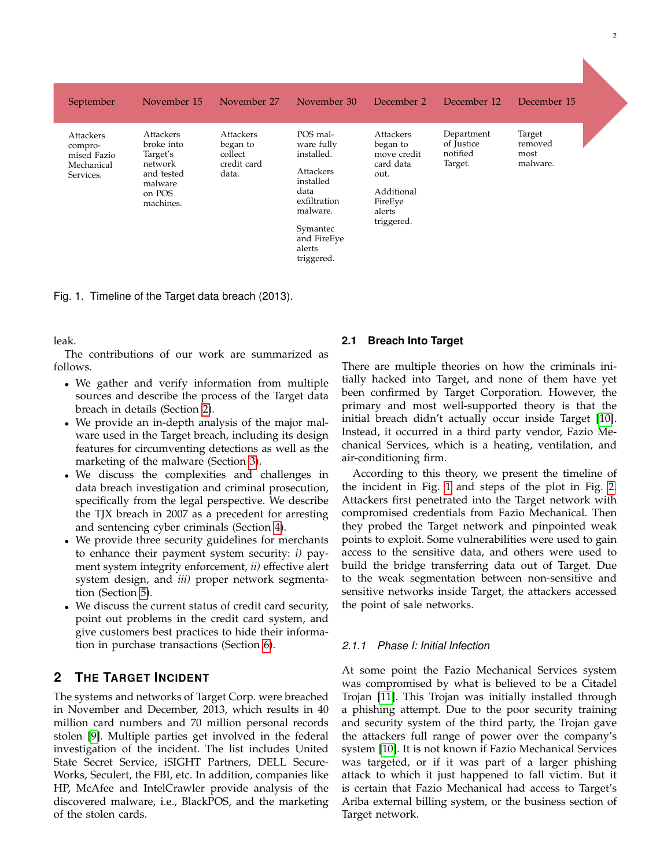| September                                                      | November 15                                                                                    | November 27                                              | November 30                                                                                                                                           | December 2                                                                                                 | December 12                                     | December 15                           |
|----------------------------------------------------------------|------------------------------------------------------------------------------------------------|----------------------------------------------------------|-------------------------------------------------------------------------------------------------------------------------------------------------------|------------------------------------------------------------------------------------------------------------|-------------------------------------------------|---------------------------------------|
| Attackers<br>compro-<br>mised Fazio<br>Mechanical<br>Services. | Attackers<br>broke into<br>Target's<br>network<br>and tested<br>malware<br>on POS<br>machines. | Attackers<br>began to<br>collect<br>credit card<br>data. | POS mal-<br>ware fully<br>installed.<br>Attackers<br>installed<br>data<br>exfiltration<br>malware.<br>Symantec<br>and FireEye<br>alerts<br>triggered. | Attackers<br>began to<br>move credit<br>card data<br>out.<br>Additional<br>FireEye<br>alerts<br>triggered. | Department<br>of Justice<br>notified<br>Target. | Target<br>removed<br>most<br>malware. |

<span id="page-1-1"></span>Fig. 1. Timeline of the Target data breach (2013).

leak.

The contributions of our work are summarized as follows.

- We gather and verify information from multiple sources and describe the process of the Target data breach in details (Section [2\)](#page-1-0).
- We provide an in-depth analysis of the major malware used in the Target breach, including its design features for circumventing detections as well as the marketing of the malware (Section [3\)](#page-3-0).
- We discuss the complexities and challenges in data breach investigation and criminal prosecution, specifically from the legal perspective. We describe the TJX breach in 2007 as a precedent for arresting and sentencing cyber criminals (Section [4\)](#page-4-0).
- We provide three security guidelines for merchants to enhance their payment system security: *i)* payment system integrity enforcement, *ii)* effective alert system design, and *iii)* proper network segmentation (Section [5\)](#page-5-0).
- We discuss the current status of credit card security, point out problems in the credit card system, and give customers best practices to hide their information in purchase transactions (Section [6\)](#page-8-0).

# <span id="page-1-0"></span>**2 THE TARGET INCIDENT**

The systems and networks of Target Corp. were breached in November and December, 2013, which results in 40 million card numbers and 70 million personal records stolen [\[9\]](#page-9-8). Multiple parties get involved in the federal investigation of the incident. The list includes United State Secret Service, iSIGHT Partners, DELL Secure-Works, Seculert, the FBI, etc. In addition, companies like HP, McAfee and IntelCrawler provide analysis of the discovered malware, i.e., BlackPOS, and the marketing of the stolen cards.

## **2.1 Breach Into Target**

There are multiple theories on how the criminals initially hacked into Target, and none of them have yet been confirmed by Target Corporation. However, the primary and most well-supported theory is that the initial breach didn't actually occur inside Target [\[10\]](#page-9-9). Instead, it occurred in a third party vendor, Fazio Mechanical Services, which is a heating, ventilation, and air-conditioning firm.

According to this theory, we present the timeline of the incident in Fig. [1](#page-1-1) and steps of the plot in Fig. [2.](#page-2-0) Attackers first penetrated into the Target network with compromised credentials from Fazio Mechanical. Then they probed the Target network and pinpointed weak points to exploit. Some vulnerabilities were used to gain access to the sensitive data, and others were used to build the bridge transferring data out of Target. Due to the weak segmentation between non-sensitive and sensitive networks inside Target, the attackers accessed the point of sale networks.

## *2.1.1 Phase I: Initial Infection*

At some point the Fazio Mechanical Services system was compromised by what is believed to be a Citadel Trojan [\[11\]](#page-9-10). This Trojan was initially installed through a phishing attempt. Due to the poor security training and security system of the third party, the Trojan gave the attackers full range of power over the company's system [\[10\]](#page-9-9). It is not known if Fazio Mechanical Services was targeted, or if it was part of a larger phishing attack to which it just happened to fall victim. But it is certain that Fazio Mechanical had access to Target's Ariba external billing system, or the business section of Target network.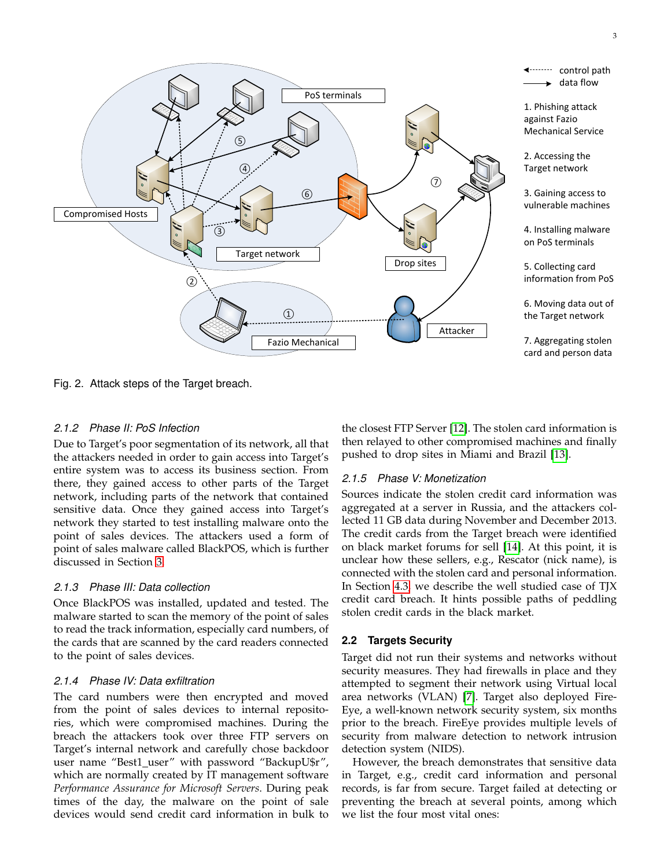

<span id="page-2-0"></span>Fig. 2. Attack steps of the Target breach.

## *2.1.2 Phase II: PoS Infection*

Due to Target's poor segmentation of its network, all that the attackers needed in order to gain access into Target's entire system was to access its business section. From there, they gained access to other parts of the Target network, including parts of the network that contained sensitive data. Once they gained access into Target's network they started to test installing malware onto the point of sales devices. The attackers used a form of point of sales malware called BlackPOS, which is further discussed in Section [3.](#page-3-0)

## *2.1.3 Phase III: Data collection*

Once BlackPOS was installed, updated and tested. The malware started to scan the memory of the point of sales to read the track information, especially card numbers, of the cards that are scanned by the card readers connected to the point of sales devices.

## *2.1.4 Phase IV: Data exfiltration*

The card numbers were then encrypted and moved from the point of sales devices to internal repositories, which were compromised machines. During the breach the attackers took over three FTP servers on Target's internal network and carefully chose backdoor user name "Best1\_user" with password "BackupU\$r", which are normally created by IT management software *Performance Assurance for Microsoft Servers*. During peak times of the day, the malware on the point of sale devices would send credit card information in bulk to

the closest FTP Server [\[12\]](#page-9-11). The stolen card information is then relayed to other compromised machines and finally pushed to drop sites in Miami and Brazil [\[13\]](#page-9-12).

## *2.1.5 Phase V: Monetization*

Sources indicate the stolen credit card information was aggregated at a server in Russia, and the attackers collected 11 GB data during November and December 2013. The credit cards from the Target breach were identified on black market forums for sell [\[14\]](#page-9-13). At this point, it is unclear how these sellers, e.g., Rescator (nick name), is connected with the stolen card and personal information. In Section [4.3,](#page-5-1) we describe the well studied case of TJX credit card breach. It hints possible paths of peddling stolen credit cards in the black market.

## <span id="page-2-1"></span>**2.2 Targets Security**

Target did not run their systems and networks without security measures. They had firewalls in place and they attempted to segment their network using Virtual local area networks (VLAN) [\[7\]](#page-9-6). Target also deployed Fire-Eye, a well-known network security system, six months prior to the breach. FireEye provides multiple levels of security from malware detection to network intrusion detection system (NIDS).

However, the breach demonstrates that sensitive data in Target, e.g., credit card information and personal records, is far from secure. Target failed at detecting or preventing the breach at several points, among which we list the four most vital ones: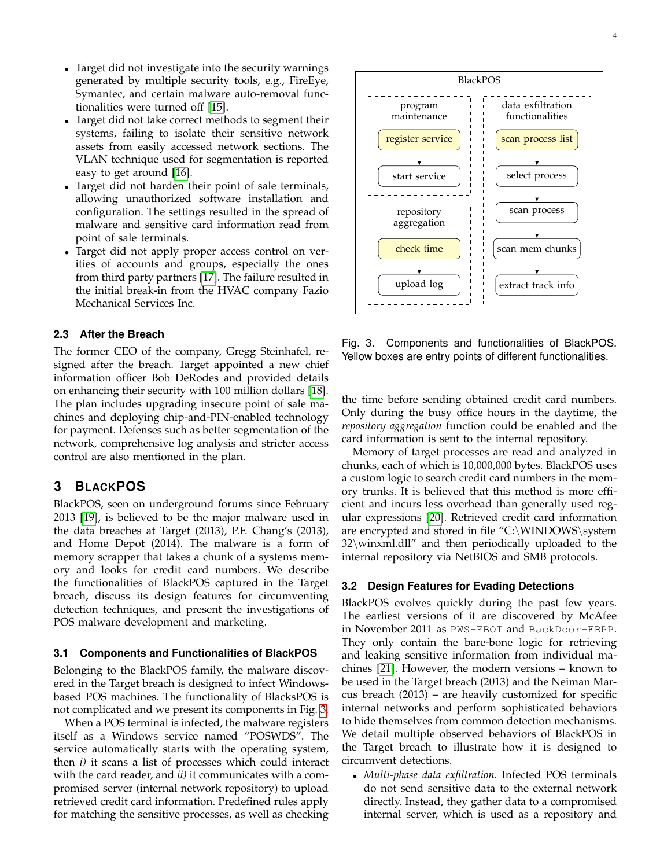- Target did not investigate into the security warnings generated by multiple security tools, e.g., FireEye, Symantec, and certain malware auto-removal functionalities were turned off [\[15\]](#page-9-14).
- Target did not take correct methods to segment their systems, failing to isolate their sensitive network assets from easily accessed network sections. The VLAN technique used for segmentation is reported easy to get around [\[16\]](#page-9-15).
- Target did not harden their point of sale terminals, allowing unauthorized software installation and configuration. The settings resulted in the spread of malware and sensitive card information read from point of sale terminals.
- Target did not apply proper access control on verities of accounts and groups, especially the ones from third party partners [\[17\]](#page-9-16). The failure resulted in the initial break-in from the HVAC company Fazio Mechanical Services Inc.

#### **2.3 After the Breach**

The former CEO of the company, Gregg Steinhafel, resigned after the breach. Target appointed a new chief information officer Bob DeRodes and provided details on enhancing their security with 100 million dollars [\[18\]](#page-9-17). The plan includes upgrading insecure point of sale machines and deploying chip-and-PIN-enabled technology for payment. Defenses such as better segmentation of the network, comprehensive log analysis and stricter access control are also mentioned in the plan.

## <span id="page-3-0"></span>**3 BLACKPOS**

BlackPOS, seen on underground forums since February 2013 [\[19\]](#page-9-18), is believed to be the major malware used in the data breaches at Target (2013), P.F. Chang's (2013), and Home Depot (2014). The malware is a form of memory scrapper that takes a chunk of a systems memory and looks for credit card numbers. We describe the functionalities of BlackPOS captured in the Target breach, discuss its design features for circumventing detection techniques, and present the investigations of POS malware development and marketing.

#### **3.1 Components and Functionalities of BlackPOS**

Belonging to the BlackPOS family, the malware discovered in the Target breach is designed to infect Windowsbased POS machines. The functionality of BlacksPOS is not complicated and we present its components in Fig. [3.](#page-3-1)

When a POS terminal is infected, the malware registers itself as a Windows service named "POSWDS". The service automatically starts with the operating system, then *i)* it scans a list of processes which could interact with the card reader, and *ii)* it communicates with a compromised server (internal network repository) to upload retrieved credit card information. Predefined rules apply for matching the sensitive processes, as well as checking



<span id="page-3-1"></span>Fig. 3. Components and functionalities of BlackPOS. Yellow boxes are entry points of different functionalities.

the time before sending obtained credit card numbers. Only during the busy office hours in the daytime, the *repository aggregation* function could be enabled and the card information is sent to the internal repository.

Memory of target processes are read and analyzed in chunks, each of which is 10,000,000 bytes. BlackPOS uses a custom logic to search credit card numbers in the memory trunks. It is believed that this method is more efficient and incurs less overhead than generally used regular expressions [\[20\]](#page-9-19). Retrieved credit card information are encrypted and stored in file "C:\WINDOWS\system 32\winxml.dll" and then periodically uploaded to the internal repository via NetBIOS and SMB protocols.

#### **3.2 Design Features for Evading Detections**

BlackPOS evolves quickly during the past few years. The earliest versions of it are discovered by McAfee in November 2011 as PWS-FBOI and BackDoor-FBPP. They only contain the bare-bone logic for retrieving and leaking sensitive information from individual machines [\[21\]](#page-9-20). However, the modern versions – known to be used in the Target breach (2013) and the Neiman Marcus breach (2013) – are heavily customized for specific internal networks and perform sophisticated behaviors to hide themselves from common detection mechanisms. We detail multiple observed behaviors of BlackPOS in the Target breach to illustrate how it is designed to circumvent detections.

• *Multi-phase data exfiltration.* Infected POS terminals do not send sensitive data to the external network directly. Instead, they gather data to a compromised internal server, which is used as a repository and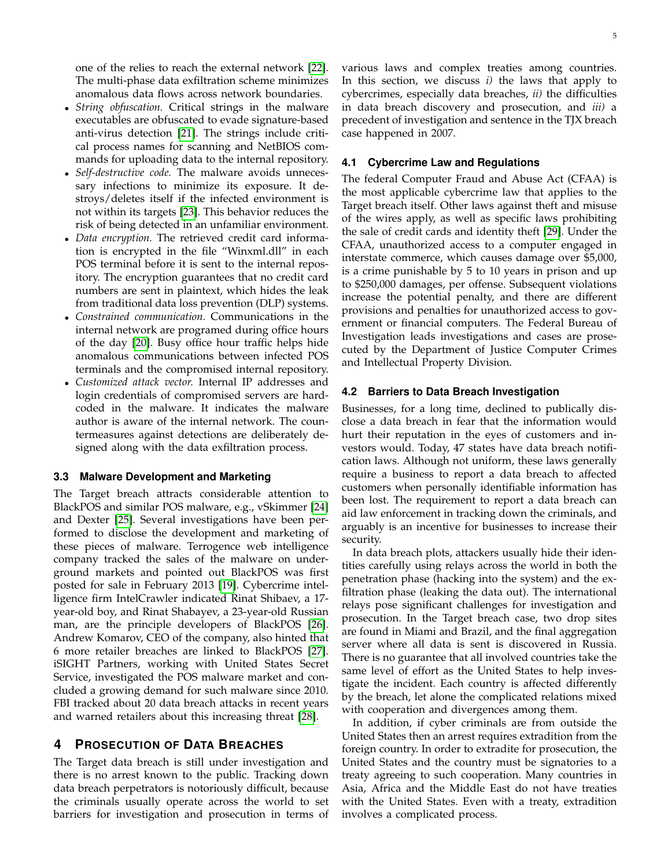one of the relies to reach the external network [\[22\]](#page-9-21). The multi-phase data exfiltration scheme minimizes anomalous data flows across network boundaries.

- *String obfuscation.* Critical strings in the malware executables are obfuscated to evade signature-based anti-virus detection [\[21\]](#page-9-20). The strings include critical process names for scanning and NetBIOS commands for uploading data to the internal repository.
- *Self-destructive code.* The malware avoids unnecessary infections to minimize its exposure. It destroys/deletes itself if the infected environment is not within its targets [\[23\]](#page-9-22). This behavior reduces the risk of being detected in an unfamiliar environment.
- *Data encryption.* The retrieved credit card information is encrypted in the file "Winxml.dll" in each POS terminal before it is sent to the internal repository. The encryption guarantees that no credit card numbers are sent in plaintext, which hides the leak from traditional data loss prevention (DLP) systems.
- *Constrained communication.* Communications in the internal network are programed during office hours of the day [\[20\]](#page-9-19). Busy office hour traffic helps hide anomalous communications between infected POS terminals and the compromised internal repository.
- *Customized attack vector.* Internal IP addresses and login credentials of compromised servers are hardcoded in the malware. It indicates the malware author is aware of the internal network. The countermeasures against detections are deliberately designed along with the data exfiltration process.

#### **3.3 Malware Development and Marketing**

The Target breach attracts considerable attention to BlackPOS and similar POS malware, e.g., vSkimmer [\[24\]](#page-9-23) and Dexter [\[25\]](#page-9-24). Several investigations have been performed to disclose the development and marketing of these pieces of malware. Terrogence web intelligence company tracked the sales of the malware on underground markets and pointed out BlackPOS was first posted for sale in February 2013 [\[19\]](#page-9-18). Cybercrime intelligence firm IntelCrawler indicated Rinat Shibaev, a 17 year-old boy, and Rinat Shabayev, a 23-year-old Russian man, are the principle developers of BlackPOS [\[26\]](#page-9-25). Andrew Komarov, CEO of the company, also hinted that 6 more retailer breaches are linked to BlackPOS [\[27\]](#page-9-26). iSIGHT Partners, working with United States Secret Service, investigated the POS malware market and concluded a growing demand for such malware since 2010. FBI tracked about 20 data breach attacks in recent years and warned retailers about this increasing threat [\[28\]](#page-9-27).

### <span id="page-4-0"></span>**4 PROSECUTION OF DATA BREACHES**

The Target data breach is still under investigation and there is no arrest known to the public. Tracking down data breach perpetrators is notoriously difficult, because the criminals usually operate across the world to set barriers for investigation and prosecution in terms of various laws and complex treaties among countries. In this section, we discuss *i)* the laws that apply to cybercrimes, especially data breaches, *ii)* the difficulties in data breach discovery and prosecution, and *iii)* a precedent of investigation and sentence in the TJX breach case happened in 2007.

#### **4.1 Cybercrime Law and Regulations**

The federal Computer Fraud and Abuse Act (CFAA) is the most applicable cybercrime law that applies to the Target breach itself. Other laws against theft and misuse of the wires apply, as well as specific laws prohibiting the sale of credit cards and identity theft [\[29\]](#page-9-28). Under the CFAA, unauthorized access to a computer engaged in interstate commerce, which causes damage over \$5,000, is a crime punishable by 5 to 10 years in prison and up to \$250,000 damages, per offense. Subsequent violations increase the potential penalty, and there are different provisions and penalties for unauthorized access to government or financial computers. The Federal Bureau of Investigation leads investigations and cases are prosecuted by the Department of Justice Computer Crimes and Intellectual Property Division.

#### **4.2 Barriers to Data Breach Investigation**

Businesses, for a long time, declined to publically disclose a data breach in fear that the information would hurt their reputation in the eyes of customers and investors would. Today, 47 states have data breach notification laws. Although not uniform, these laws generally require a business to report a data breach to affected customers when personally identifiable information has been lost. The requirement to report a data breach can aid law enforcement in tracking down the criminals, and arguably is an incentive for businesses to increase their security.

In data breach plots, attackers usually hide their identities carefully using relays across the world in both the penetration phase (hacking into the system) and the exfiltration phase (leaking the data out). The international relays pose significant challenges for investigation and prosecution. In the Target breach case, two drop sites are found in Miami and Brazil, and the final aggregation server where all data is sent is discovered in Russia. There is no guarantee that all involved countries take the same level of effort as the United States to help investigate the incident. Each country is affected differently by the breach, let alone the complicated relations mixed with cooperation and divergences among them.

In addition, if cyber criminals are from outside the United States then an arrest requires extradition from the foreign country. In order to extradite for prosecution, the United States and the country must be signatories to a treaty agreeing to such cooperation. Many countries in Asia, Africa and the Middle East do not have treaties with the United States. Even with a treaty, extradition involves a complicated process.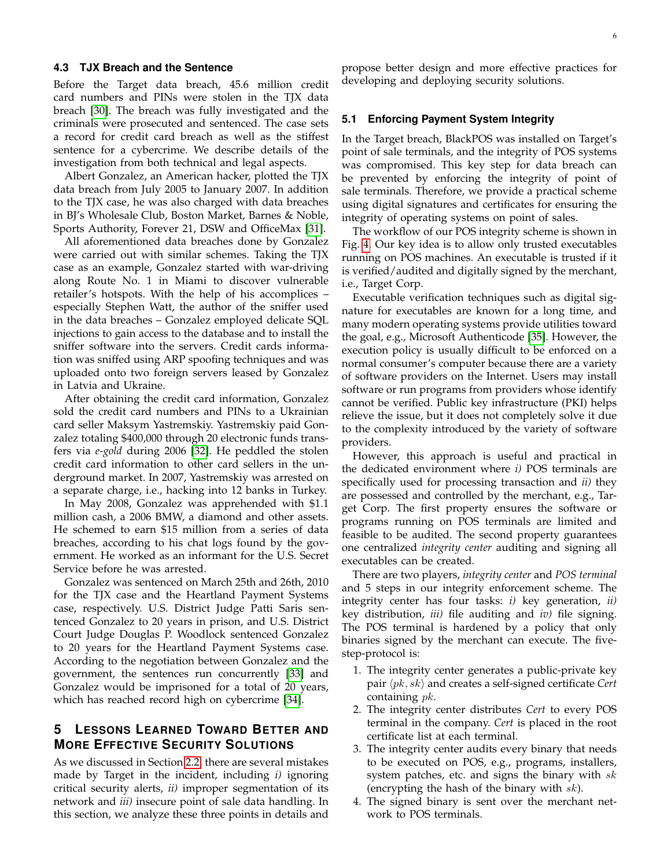#### <span id="page-5-1"></span>**4.3 TJX Breach and the Sentence**

Before the Target data breach, 45.6 million credit card numbers and PINs were stolen in the TJX data breach [\[30\]](#page-9-29). The breach was fully investigated and the criminals were prosecuted and sentenced. The case sets a record for credit card breach as well as the stiffest sentence for a cybercrime. We describe details of the investigation from both technical and legal aspects.

Albert Gonzalez, an American hacker, plotted the TJX data breach from July 2005 to January 2007. In addition to the TJX case, he was also charged with data breaches in BJ's Wholesale Club, Boston Market, Barnes & Noble, Sports Authority, Forever 21, DSW and OfficeMax [\[31\]](#page-9-30).

All aforementioned data breaches done by Gonzalez were carried out with similar schemes. Taking the TJX case as an example, Gonzalez started with war-driving along Route No. 1 in Miami to discover vulnerable retailer's hotspots. With the help of his accomplices – especially Stephen Watt, the author of the sniffer used in the data breaches – Gonzalez employed delicate SQL injections to gain access to the database and to install the sniffer software into the servers. Credit cards information was sniffed using ARP spoofing techniques and was uploaded onto two foreign servers leased by Gonzalez in Latvia and Ukraine.

After obtaining the credit card information, Gonzalez sold the credit card numbers and PINs to a Ukrainian card seller Maksym Yastremskiy. Yastremskiy paid Gonzalez totaling \$400,000 through 20 electronic funds transfers via *e-gold* during 2006 [\[32\]](#page-9-31). He peddled the stolen credit card information to other card sellers in the underground market. In 2007, Yastremskiy was arrested on a separate charge, i.e., hacking into 12 banks in Turkey.

In May 2008, Gonzalez was apprehended with \$1.1 million cash, a 2006 BMW, a diamond and other assets. He schemed to earn \$15 million from a series of data breaches, according to his chat logs found by the government. He worked as an informant for the U.S. Secret Service before he was arrested.

Gonzalez was sentenced on March 25th and 26th, 2010 for the TJX case and the Heartland Payment Systems case, respectively. U.S. District Judge Patti Saris sentenced Gonzalez to 20 years in prison, and U.S. District Court Judge Douglas P. Woodlock sentenced Gonzalez to 20 years for the Heartland Payment Systems case. According to the negotiation between Gonzalez and the government, the sentences run concurrently [\[33\]](#page-9-32) and Gonzalez would be imprisoned for a total of 20 years, which has reached record high on cybercrime [\[34\]](#page-9-33).

# <span id="page-5-0"></span>**5 LESSONS LEARNED TOWARD BETTER AND MORE EFFECTIVE SECURITY SOLUTIONS**

As we discussed in Section [2.2,](#page-2-1) there are several mistakes made by Target in the incident, including *i)* ignoring critical security alerts, *ii)* improper segmentation of its network and *iii)* insecure point of sale data handling. In this section, we analyze these three points in details and

propose better design and more effective practices for developing and deploying security solutions.

#### **5.1 Enforcing Payment System Integrity**

In the Target breach, BlackPOS was installed on Target's point of sale terminals, and the integrity of POS systems was compromised. This key step for data breach can be prevented by enforcing the integrity of point of sale terminals. Therefore, we provide a practical scheme using digital signatures and certificates for ensuring the integrity of operating systems on point of sales.

The workflow of our POS integrity scheme is shown in Fig. [4.](#page-6-0) Our key idea is to allow only trusted executables running on POS machines. An executable is trusted if it is verified/audited and digitally signed by the merchant, i.e., Target Corp.

Executable verification techniques such as digital signature for executables are known for a long time, and many modern operating systems provide utilities toward the goal, e.g., Microsoft Authenticode [\[35\]](#page-9-34). However, the execution policy is usually difficult to be enforced on a normal consumer's computer because there are a variety of software providers on the Internet. Users may install software or run programs from providers whose identify cannot be verified. Public key infrastructure (PKI) helps relieve the issue, but it does not completely solve it due to the complexity introduced by the variety of software providers.

However, this approach is useful and practical in the dedicated environment where *i)* POS terminals are specifically used for processing transaction and *ii)* they are possessed and controlled by the merchant, e.g., Target Corp. The first property ensures the software or programs running on POS terminals are limited and feasible to be audited. The second property guarantees one centralized *integrity center* auditing and signing all executables can be created.

There are two players, *integrity center* and *POS terminal* and 5 steps in our integrity enforcement scheme. The integrity center has four tasks: *i)* key generation, *ii)* key distribution, *iii)* file auditing and *iv)* file signing. The POS terminal is hardened by a policy that only binaries signed by the merchant can execute. The fivestep-protocol is:

- 1. The integrity center generates a public-private key pair  $\langle pk, sk \rangle$  and creates a self-signed certificate *Cert* containing pk.
- 2. The integrity center distributes *Cert* to every POS terminal in the company. *Cert* is placed in the root certificate list at each terminal.
- 3. The integrity center audits every binary that needs to be executed on POS, e.g., programs, installers, system patches, etc. and signs the binary with  $sk$ (encrypting the hash of the binary with  $sk$ ).
- 4. The signed binary is sent over the merchant network to POS terminals.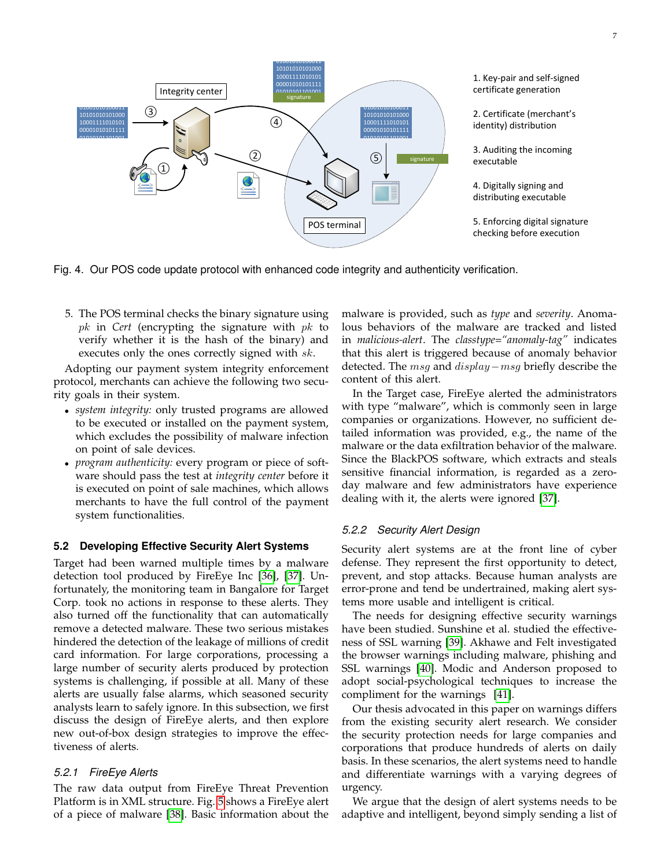01001010100011 10101010101000 10001111010101 1. Key-pair and self-signed 00001010101111 certificate generation Integrity center 01010101101001<br>-1 signature 10100011001101 01001010100011 01001010100011 ③ 2. Certificate (merchant's 10101010101000 10101010101000 ④ 10001111010101 01111010 identity) distribution 01010111 00001010101111 01010101101001 01010101101001 1 3. Auditing the incoming ② ⑤ signature executable ① ☺ 4. Digitally signing and distributing executable 5. Enforcing digital signature POS terminal checking before execution

<span id="page-6-0"></span>Fig. 4. Our POS code update protocol with enhanced code integrity and authenticity verification.

5. The POS terminal checks the binary signature using pk in *Cert* (encrypting the signature with pk to verify whether it is the hash of the binary) and executes only the ones correctly signed with sk.

Adopting our payment system integrity enforcement protocol, merchants can achieve the following two security goals in their system.

- *system integrity:* only trusted programs are allowed to be executed or installed on the payment system, which excludes the possibility of malware infection on point of sale devices.
- *program authenticity:* every program or piece of software should pass the test at *integrity center* before it is executed on point of sale machines, which allows merchants to have the full control of the payment system functionalities.

## **5.2 Developing Effective Security Alert Systems**

Target had been warned multiple times by a malware detection tool produced by FireEye Inc [\[36\]](#page-9-35), [\[37\]](#page-9-36). Unfortunately, the monitoring team in Bangalore for Target Corp. took no actions in response to these alerts. They also turned off the functionality that can automatically remove a detected malware. These two serious mistakes hindered the detection of the leakage of millions of credit card information. For large corporations, processing a large number of security alerts produced by protection systems is challenging, if possible at all. Many of these alerts are usually false alarms, which seasoned security analysts learn to safely ignore. In this subsection, we first discuss the design of FireEye alerts, and then explore new out-of-box design strategies to improve the effectiveness of alerts.

## *5.2.1 FireEye Alerts*

The raw data output from FireEye Threat Prevention Platform is in XML structure. Fig. [5](#page-7-0) shows a FireEye alert of a piece of malware [\[38\]](#page-9-37). Basic information about the

malware is provided, such as *type* and *severity*. Anomalous behaviors of the malware are tracked and listed in *malicious-alert*. The *classtype="anomaly-tag"* indicates that this alert is triggered because of anomaly behavior detected. The msg and display−msg briefly describe the content of this alert.

In the Target case, FireEye alerted the administrators with type "malware", which is commonly seen in large companies or organizations. However, no sufficient detailed information was provided, e.g., the name of the malware or the data exfiltration behavior of the malware. Since the BlackPOS software, which extracts and steals sensitive financial information, is regarded as a zeroday malware and few administrators have experience dealing with it, the alerts were ignored [\[37\]](#page-9-36).

## *5.2.2 Security Alert Design*

Security alert systems are at the front line of cyber defense. They represent the first opportunity to detect, prevent, and stop attacks. Because human analysts are error-prone and tend be undertrained, making alert systems more usable and intelligent is critical.

The needs for designing effective security warnings have been studied. Sunshine et al. studied the effectiveness of SSL warning [\[39\]](#page-9-38). Akhawe and Felt investigated the browser warnings including malware, phishing and SSL warnings [\[40\]](#page-9-39). Modic and Anderson proposed to adopt social-psychological techniques to increase the compliment for the warnings [\[41\]](#page-9-40).

Our thesis advocated in this paper on warnings differs from the existing security alert research. We consider the security protection needs for large companies and corporations that produce hundreds of alerts on daily basis. In these scenarios, the alert systems need to handle and differentiate warnings with a varying degrees of urgency.

We argue that the design of alert systems needs to be adaptive and intelligent, beyond simply sending a list of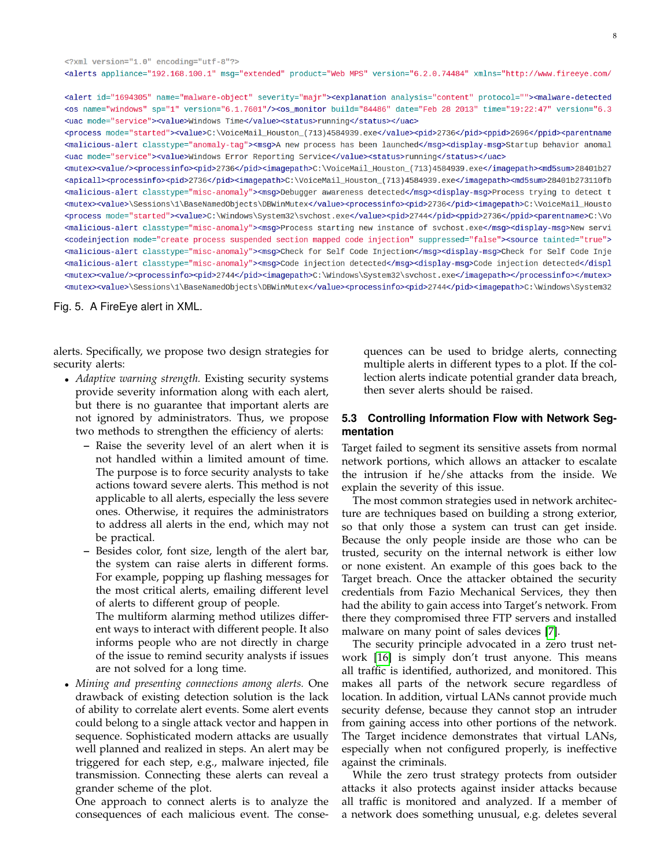<?xml version="1.0" encoding="utf-8"?> <alerts appliance="192.168.100.1" msq="extended" product="Web MPS" version="6.2.0.74484" xmlns="http://www.fireeye.com/

<alert id="1694305" name="malware-object" severity="majr"><explanation analysis="content" protocol=""><malware-detected <os name="windows" sp="1" version="6.1.7601"/><os\_monitor build="84486" date="Feb 28 2013" time="19:22:47" version="6.3 <uac mode="service"><value>Windows Time</value><status>running</status></uac>

<process mode="started"><value>C:\VoiceMail\_Houston\_(713)4584939.exe</value><pid>2736</pid><ppid>2696</ppid><ppid>2696</ppid> <malicious-alert classtype="anomaly-tag"><msg>A new process has been launched</msg><display-msg>Startup behavior anomal <uac mode="service"><value>Windows Error Reporting Service</value><status>running</status></uac>

<mutex><value/><processinfo><pid>2736</pid><imagepath>C:\VoiceMail\_Houston\_(713)4584939.exe</imagepath><md5sum>28401b27 <apicall><processinfo><pid>2736</pid><imagepath>C:\VoiceMail\_Houston\_(713)4584939.exe</imagepath><md5sum>28401b273110fb <malicious-alert classtype="misc-anomaly"><msg>Debugger awareness detected</msg><display-msg>Process trying to detect t <mutex><value>\Sessions\1\BaseNamedObjects\DBWinMutex</value><processinfo><pid>2736</pid><imagepath>C:\VoiceMail\_Housto <process mode="started"><value>C:\Windows\System32\svchost.exe</value><pid>2744</pid><ppid>2736</ppid><parentname>C:\Vo <malicious-alert classtype="misc-anomaly"><msg>Process starting new instance of svchost.exe</msg><display-msg>New servi <codeinjection mode="create process suspended section mapped code injection" suppressed="false"><source tainted="true"> <malicious-alert classtype="misc-anomaly"><msg>Check for Self Code Injection</msg><display-msg>Check for Self Code Inje <malicious-alert classtype="misc-anomaly"><msg>Code injection detected</msg><display-msg>Code injection detected</displ <mutex><value/><processinfo><pid>2744</pid><imagepath>C:\Windows\System32\svchost.exe</imagepath></processinfo></mutex> <mutex><value>\Sessions\1\BaseNamedObjects\DBWinMutex</value><processinfo><pid>2744</pid><imagepath>C:\Windows\System32

<span id="page-7-0"></span>Fig. 5. A FireEye alert in XML.

alerts. Specifically, we propose two design strategies for security alerts:

- *Adaptive warning strength.* Existing security systems provide severity information along with each alert, but there is no guarantee that important alerts are not ignored by administrators. Thus, we propose two methods to strengthen the efficiency of alerts:
	- **–** Raise the severity level of an alert when it is not handled within a limited amount of time. The purpose is to force security analysts to take actions toward severe alerts. This method is not applicable to all alerts, especially the less severe ones. Otherwise, it requires the administrators to address all alerts in the end, which may not be practical.
	- **–** Besides color, font size, length of the alert bar, the system can raise alerts in different forms. For example, popping up flashing messages for the most critical alerts, emailing different level of alerts to different group of people.

The multiform alarming method utilizes different ways to interact with different people. It also informs people who are not directly in charge of the issue to remind security analysts if issues are not solved for a long time.

• *Mining and presenting connections among alerts.* One drawback of existing detection solution is the lack of ability to correlate alert events. Some alert events could belong to a single attack vector and happen in sequence. Sophisticated modern attacks are usually well planned and realized in steps. An alert may be triggered for each step, e.g., malware injected, file transmission. Connecting these alerts can reveal a grander scheme of the plot.

One approach to connect alerts is to analyze the consequences of each malicious event. The conse-

quences can be used to bridge alerts, connecting multiple alerts in different types to a plot. If the collection alerts indicate potential grander data breach, then sever alerts should be raised.

## **5.3 Controlling Information Flow with Network Segmentation**

Target failed to segment its sensitive assets from normal network portions, which allows an attacker to escalate the intrusion if he/she attacks from the inside. We explain the severity of this issue.

The most common strategies used in network architecture are techniques based on building a strong exterior, so that only those a system can trust can get inside. Because the only people inside are those who can be trusted, security on the internal network is either low or none existent. An example of this goes back to the Target breach. Once the attacker obtained the security credentials from Fazio Mechanical Services, they then had the ability to gain access into Target's network. From there they compromised three FTP servers and installed malware on many point of sales devices [\[7\]](#page-9-6).

The security principle advocated in a zero trust network [\[16\]](#page-9-15) is simply don't trust anyone. This means all traffic is identified, authorized, and monitored. This makes all parts of the network secure regardless of location. In addition, virtual LANs cannot provide much security defense, because they cannot stop an intruder from gaining access into other portions of the network. The Target incidence demonstrates that virtual LANs, especially when not configured properly, is ineffective against the criminals.

While the zero trust strategy protects from outsider attacks it also protects against insider attacks because all traffic is monitored and analyzed. If a member of a network does something unusual, e.g. deletes several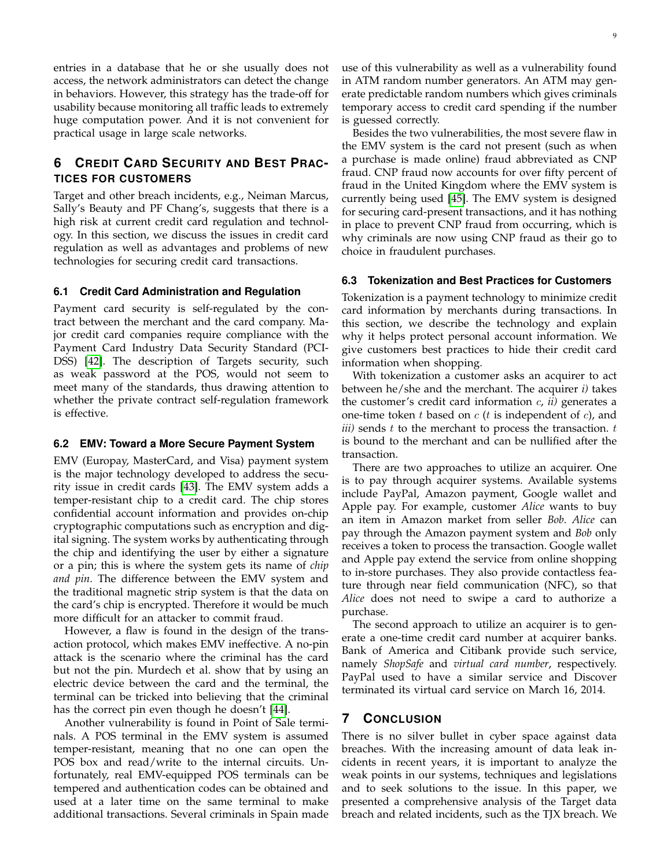entries in a database that he or she usually does not access, the network administrators can detect the change in behaviors. However, this strategy has the trade-off for usability because monitoring all traffic leads to extremely huge computation power. And it is not convenient for practical usage in large scale networks.

# <span id="page-8-0"></span>**6 CREDIT CARD SECURITY AND BEST PRAC-TICES FOR CUSTOMERS**

Target and other breach incidents, e.g., Neiman Marcus, Sally's Beauty and PF Chang's, suggests that there is a high risk at current credit card regulation and technology. In this section, we discuss the issues in credit card regulation as well as advantages and problems of new technologies for securing credit card transactions.

#### **6.1 Credit Card Administration and Regulation**

Payment card security is self-regulated by the contract between the merchant and the card company. Major credit card companies require compliance with the Payment Card Industry Data Security Standard (PCI-DSS) [\[42\]](#page-9-41). The description of Targets security, such as weak password at the POS, would not seem to meet many of the standards, thus drawing attention to whether the private contract self-regulation framework is effective.

#### **6.2 EMV: Toward a More Secure Payment System**

EMV (Europay, MasterCard, and Visa) payment system is the major technology developed to address the security issue in credit cards [\[43\]](#page-9-42). The EMV system adds a temper-resistant chip to a credit card. The chip stores confidential account information and provides on-chip cryptographic computations such as encryption and digital signing. The system works by authenticating through the chip and identifying the user by either a signature or a pin; this is where the system gets its name of *chip and pin*. The difference between the EMV system and the traditional magnetic strip system is that the data on the card's chip is encrypted. Therefore it would be much more difficult for an attacker to commit fraud.

However, a flaw is found in the design of the transaction protocol, which makes EMV ineffective. A no-pin attack is the scenario where the criminal has the card but not the pin. Murdech et al. show that by using an electric device between the card and the terminal, the terminal can be tricked into believing that the criminal has the correct pin even though he doesn't [\[44\]](#page-9-43).

Another vulnerability is found in Point of Sale terminals. A POS terminal in the EMV system is assumed temper-resistant, meaning that no one can open the POS box and read/write to the internal circuits. Unfortunately, real EMV-equipped POS terminals can be tempered and authentication codes can be obtained and used at a later time on the same terminal to make additional transactions. Several criminals in Spain made use of this vulnerability as well as a vulnerability found in ATM random number generators. An ATM may generate predictable random numbers which gives criminals temporary access to credit card spending if the number is guessed correctly.

Besides the two vulnerabilities, the most severe flaw in the EMV system is the card not present (such as when a purchase is made online) fraud abbreviated as CNP fraud. CNP fraud now accounts for over fifty percent of fraud in the United Kingdom where the EMV system is currently being used [\[45\]](#page-9-44). The EMV system is designed for securing card-present transactions, and it has nothing in place to prevent CNP fraud from occurring, which is why criminals are now using CNP fraud as their go to choice in fraudulent purchases.

#### **6.3 Tokenization and Best Practices for Customers**

Tokenization is a payment technology to minimize credit card information by merchants during transactions. In this section, we describe the technology and explain why it helps protect personal account information. We give customers best practices to hide their credit card information when shopping.

With tokenization a customer asks an acquirer to act between he/she and the merchant. The acquirer *i)* takes the customer's credit card information c, *ii)* generates a one-time token  $t$  based on  $c$  ( $t$  is independent of  $c$ ), and *) sends*  $*t*$  *to the merchant to process the transaction.*  $*t*$ is bound to the merchant and can be nullified after the transaction.

There are two approaches to utilize an acquirer. One is to pay through acquirer systems. Available systems include PayPal, Amazon payment, Google wallet and Apple pay. For example, customer *Alice* wants to buy an item in Amazon market from seller *Bob*. *Alice* can pay through the Amazon payment system and *Bob* only receives a token to process the transaction. Google wallet and Apple pay extend the service from online shopping to in-store purchases. They also provide contactless feature through near field communication (NFC), so that *Alice* does not need to swipe a card to authorize a purchase.

The second approach to utilize an acquirer is to generate a one-time credit card number at acquirer banks. Bank of America and Citibank provide such service, namely *ShopSafe* and *virtual card number*, respectively. PayPal used to have a similar service and Discover terminated its virtual card service on March 16, 2014.

## **7 CONCLUSION**

There is no silver bullet in cyber space against data breaches. With the increasing amount of data leak incidents in recent years, it is important to analyze the weak points in our systems, techniques and legislations and to seek solutions to the issue. In this paper, we presented a comprehensive analysis of the Target data breach and related incidents, such as the TJX breach. We